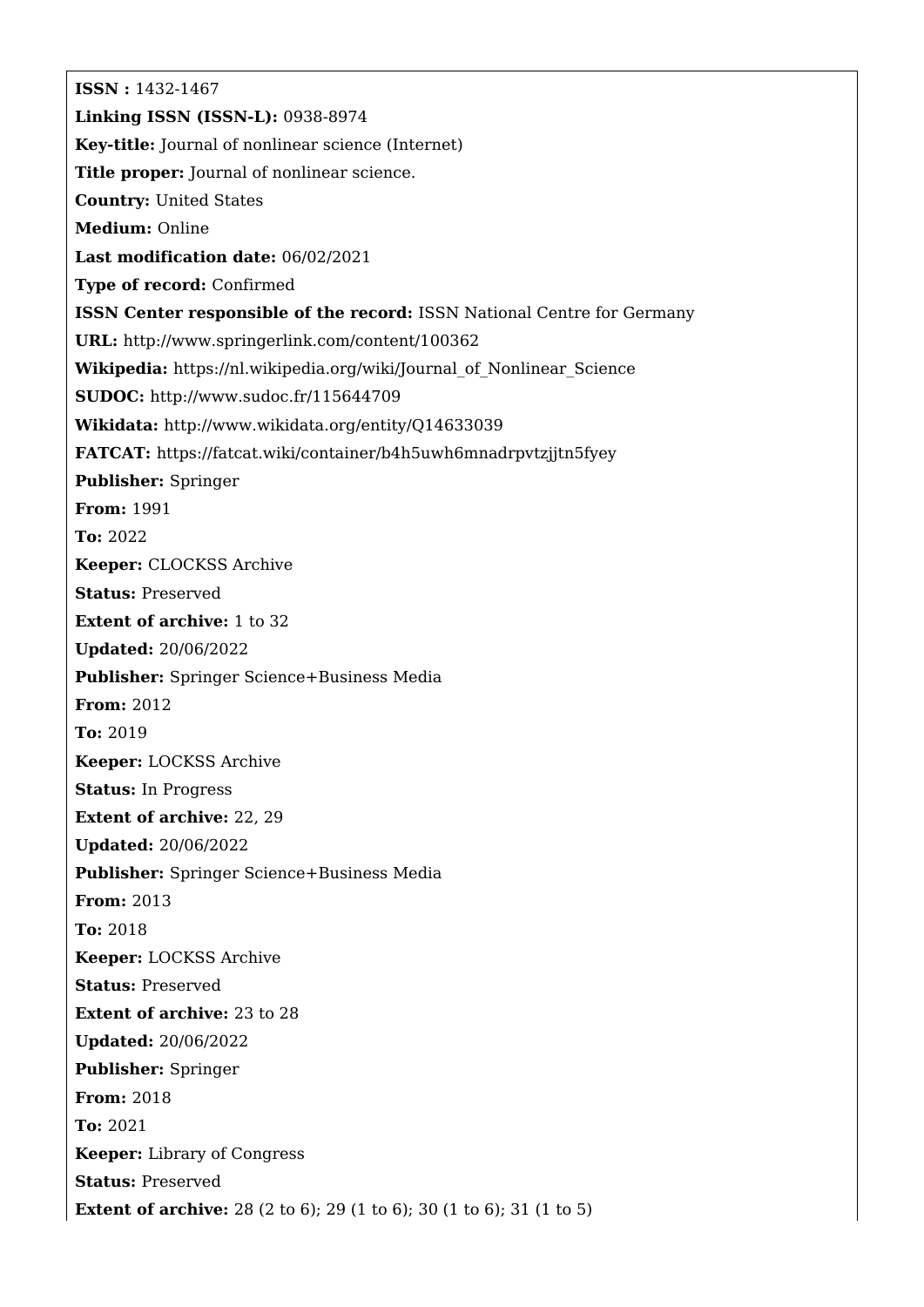**ISSN :** 1432-1467 **Linking ISSN (ISSN-L):** 0938-8974 **Key-title:** Journal of nonlinear science (Internet) **Title proper:** Journal of nonlinear science. **Country:** United States **Medium:** Online **Last modification date:** 06/02/2021 **Type of record:** Confirmed **ISSN Center responsible of the record:** ISSN National Centre for Germany **URL:** <http://www.springerlink.com/content/100362> **Wikipedia:** [https://nl.wikipedia.org/wiki/Journal\\_of\\_Nonlinear\\_Science](https://nl.wikipedia.org/wiki/Journal_of_Nonlinear_Science) **SUDOC:** <http://www.sudoc.fr/115644709> **Wikidata:** <http://www.wikidata.org/entity/Q14633039> **FATCAT:** <https://fatcat.wiki/container/b4h5uwh6mnadrpvtzjjtn5fyey> **Publisher:** Springer **From:** 1991 **To:** 2022 **Keeper:** CLOCKSS Archive **Status:** Preserved **Extent of archive:** 1 to 32 **Updated:** 20/06/2022 **Publisher:** Springer Science+Business Media **From:** 2012 **To:** 2019 **Keeper:** LOCKSS Archive **Status:** In Progress **Extent of archive:** 22, 29 **Updated:** 20/06/2022 **Publisher:** Springer Science+Business Media **From:** 2013 **To:** 2018 **Keeper:** LOCKSS Archive **Status:** Preserved **Extent of archive:** 23 to 28 **Updated:** 20/06/2022 **Publisher:** Springer **From:** 2018 **To:** 2021 **Keeper:** Library of Congress **Status:** Preserved **Extent of archive:** 28 (2 to 6); 29 (1 to 6); 30 (1 to 6); 31 (1 to 5)